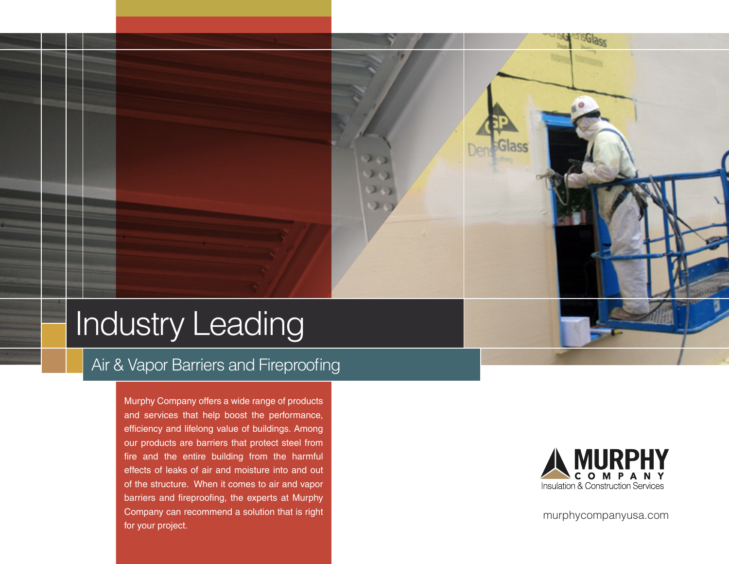## Industry Leading

#### Air & Vapor Barriers and Fireproofing

Murphy Company offers a wide range of products and services that help boost the performance, efficiency and lifelong value of buildings. Among our products are barriers that protect steel from fire and the entire building from the harmful effects of leaks of air and moisture into and out of the structure. When it comes to air and vapor barriers and fireproofing, the experts at Murphy Company can recommend a solution that is right for your project.



murphycompanyusa.com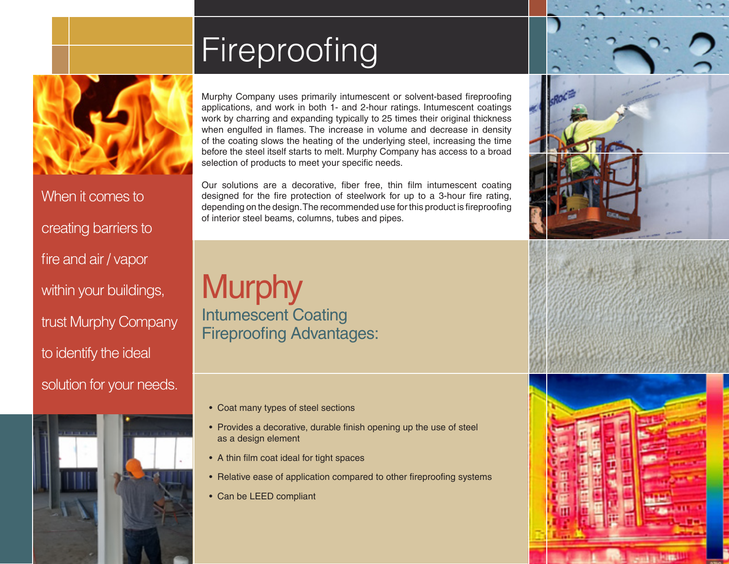## Fireproofing



When it comes to creating barriers to fire and air / vapor within your buildings, trust Murphy Company to identify the ideal solution for your needs.



Murphy Company uses primarily intumescent or solvent-based fireproofing applications, and work in both 1- and 2-hour ratings. Intumescent coatings work by charring and expanding typically to 25 times their original thickness when engulfed in flames. The increase in volume and decrease in density of the coating slows the heating of the underlying steel, increasing the time before the steel itself starts to melt. Murphy Company has access to a broad selection of products to meet your specific needs.

Our solutions are a decorative, fiber free, thin film intumescent coating designed for the fire protection of steelwork for up to a 3-hour fire rating, depending on the design. The recommended use for this product is fireproofing of interior steel beams, columns, tubes and pipes.

### **Murphy** Intumescent Coating Fireproofing Advantages:

- Coat many types of steel sections
- Provides a decorative, durable finish opening up the use of steel as a design element
- A thin film coat ideal for tight spaces
- Relative ease of application compared to other fireproofing systems
- Can be LEED compliant



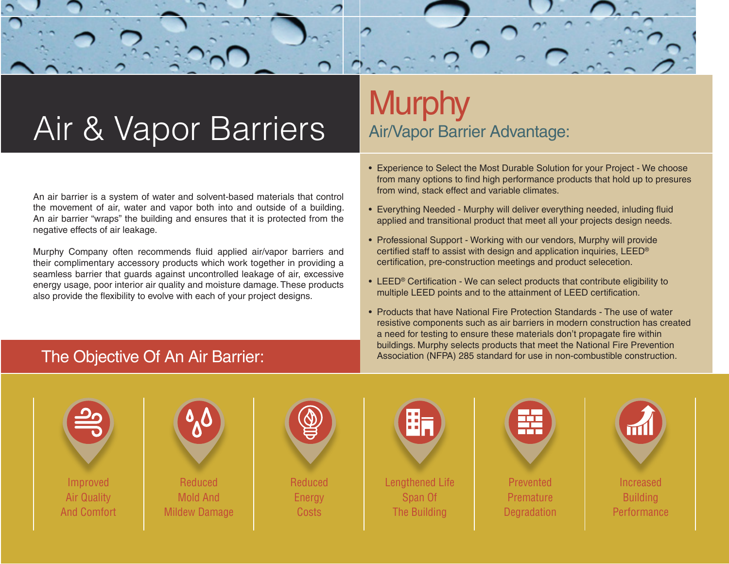# Air & Vapor Barriers

An air barrier is a system of water and solvent-based materials that control the movement of air, water and vapor both into and outside of a building. An air barrier "wraps" the building and ensures that it is protected from the negative effects of air leakage.

Murphy Company often recommends fluid applied air/vapor barriers and their complimentary accessory products which work together in providing a seamless barrier that guards against uncontrolled leakage of air, excessive energy usage, poor interior air quality and moisture damage. These products also provide the flexibility to evolve with each of your project designs.

## **Murphy** Air/Vapor Barrier Advantage:

- Experience to Select the Most Durable Solution for your Project We choose from many options to find high performance products that hold up to presures from wind, stack effect and variable climates.
- Everything Needed Murphy will deliver everything needed, inluding fluid applied and transitional product that meet all your projects design needs.
- Professional Support Working with our vendors, Murphy will provide certified staff to assist with design and application inquiries, LEED® certification, pre-construction meetings and product selecetion.
- LEED® Certification We can select products that contribute eligibility to multiple LEED points and to the attainment of LEED certification.
- Products that have National Fire Protection Standards The use of water resistive components such as air barriers in modern construction has created a need for testing to ensure these materials don't propagate fire within buildings. Murphy selects products that meet the National Fire Prevention The Objective Of An Air Barrier: Association (NFPA) 285 standard for use in non-combustible construction.